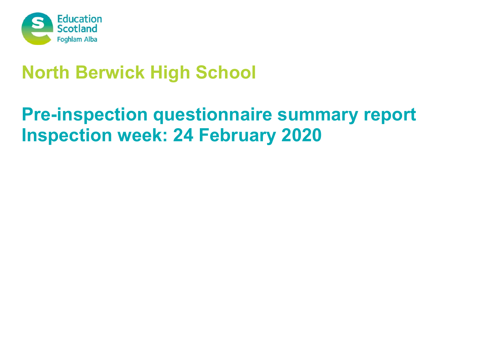

# **North Berwick High School**

# **Pre-inspection questionnaire summary report Inspection week: 24 February 2020**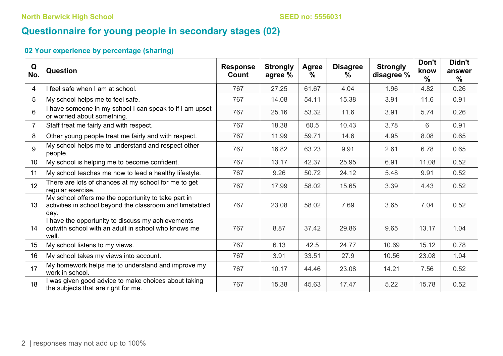# **Questionnaire for young people in secondary stages (02)**

| Q<br>No.        | <b>Question</b>                                                                                                         | <b>Response</b><br>Count | <b>Strongly</b><br>agree % | Agree<br>$\frac{0}{0}$ | <b>Disagree</b><br>$\%$ | <b>Strongly</b><br>disagree % | Don't<br>know<br>$\frac{0}{0}$ | Didn't<br>answer<br>$\frac{0}{0}$ |
|-----------------|-------------------------------------------------------------------------------------------------------------------------|--------------------------|----------------------------|------------------------|-------------------------|-------------------------------|--------------------------------|-----------------------------------|
| 4               | I feel safe when I am at school.                                                                                        | 767                      | 27.25                      | 61.67                  | 4.04                    | 1.96                          | 4.82                           | 0.26                              |
| 5               | My school helps me to feel safe.                                                                                        | 767                      | 14.08                      | 54.11                  | 15.38                   | 3.91                          | 11.6                           | 0.91                              |
| 6               | I have someone in my school I can speak to if I am upset<br>or worried about something.                                 | 767                      | 25.16                      | 53.32                  | 11.6                    | 3.91                          | 5.74                           | 0.26                              |
|                 | Staff treat me fairly and with respect.                                                                                 | 767                      | 18.38                      | 60.5                   | 10.43                   | 3.78                          | 6                              | 0.91                              |
| 8               | Other young people treat me fairly and with respect.                                                                    | 767                      | 11.99                      | 59.71                  | 14.6                    | 4.95                          | 8.08                           | 0.65                              |
| 9               | My school helps me to understand and respect other<br>people.                                                           | 767                      | 16.82                      | 63.23                  | 9.91                    | 2.61                          | 6.78                           | 0.65                              |
| 10 <sup>°</sup> | My school is helping me to become confident.                                                                            | 767                      | 13.17                      | 42.37                  | 25.95                   | 6.91                          | 11.08                          | 0.52                              |
| 11              | My school teaches me how to lead a healthy lifestyle.                                                                   | 767                      | 9.26                       | 50.72                  | 24.12                   | 5.48                          | 9.91                           | 0.52                              |
| 12 <sup>°</sup> | There are lots of chances at my school for me to get<br>regular exercise.                                               | 767                      | 17.99                      | 58.02                  | 15.65                   | 3.39                          | 4.43                           | 0.52                              |
| 13              | My school offers me the opportunity to take part in<br>activities in school beyond the classroom and timetabled<br>day. | 767                      | 23.08                      | 58.02                  | 7.69                    | 3.65                          | 7.04                           | 0.52                              |
| 14              | I have the opportunity to discuss my achievements<br>outwith school with an adult in school who knows me<br>well.       | 767                      | 8.87                       | 37.42                  | 29.86                   | 9.65                          | 13.17                          | 1.04                              |
| 15              | My school listens to my views.                                                                                          | 767                      | 6.13                       | 42.5                   | 24.77                   | 10.69                         | 15.12                          | 0.78                              |
| 16              | My school takes my views into account.                                                                                  | 767                      | 3.91                       | 33.51                  | 27.9                    | 10.56                         | 23.08                          | 1.04                              |
| 17              | My homework helps me to understand and improve my<br>work in school.                                                    | 767                      | 10.17                      | 44.46                  | 23.08                   | 14.21                         | 7.56                           | 0.52                              |
| 18              | I was given good advice to make choices about taking<br>the subjects that are right for me.                             | 767                      | 15.38                      | 45.63                  | 17.47                   | 5.22                          | 15.78                          | 0.52                              |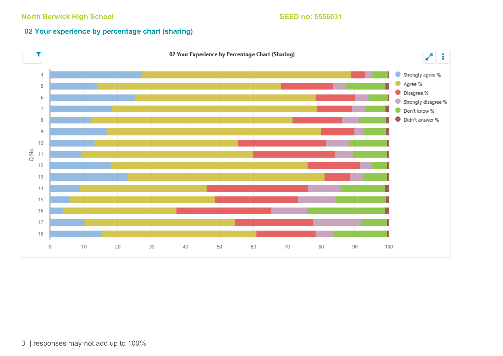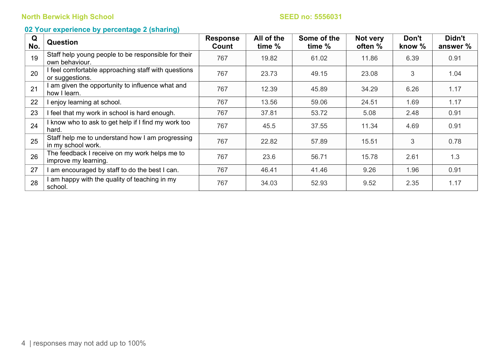| Q<br>No. | <b>Question</b>                                                        | <b>Response</b><br>Count | All of the<br>time % | Some of the<br>time % | Not very<br>often % | Don't<br>know % | Didn't<br>answer % |
|----------|------------------------------------------------------------------------|--------------------------|----------------------|-----------------------|---------------------|-----------------|--------------------|
| 19       | Staff help young people to be responsible for their<br>own behaviour.  | 767                      | 19.82                | 61.02                 | 11.86               | 6.39            | 0.91               |
| 20       | I feel comfortable approaching staff with questions<br>or suggestions. | 767                      | 23.73                | 49.15                 | 23.08               | 3               | 1.04               |
| 21       | I am given the opportunity to influence what and<br>how I learn.       | 767                      | 12.39                | 45.89                 | 34.29               | 6.26            | 1.17               |
| 22       | I enjoy learning at school.                                            | 767                      | 13.56                | 59.06                 | 24.51               | 1.69            | 1.17               |
| 23       | I feel that my work in school is hard enough.                          | 767                      | 37.81                | 53.72                 | 5.08                | 2.48            | 0.91               |
| 24       | I know who to ask to get help if I find my work too<br>hard.           | 767                      | 45.5                 | 37.55                 | 11.34               | 4.69            | 0.91               |
| 25       | Staff help me to understand how I am progressing<br>in my school work. | 767                      | 22.82                | 57.89                 | 15.51               | 3               | 0.78               |
| 26       | The feedback I receive on my work helps me to<br>improve my learning.  | 767                      | 23.6                 | 56.71                 | 15.78               | 2.61            | 1.3                |
| 27       | I am encouraged by staff to do the best I can.                         | 767                      | 46.41                | 41.46                 | 9.26                | 1.96            | 0.91               |
| 28       | I am happy with the quality of teaching in my<br>school.               | 767                      | 34.03                | 52.93                 | 9.52                | 2.35            | 1.17               |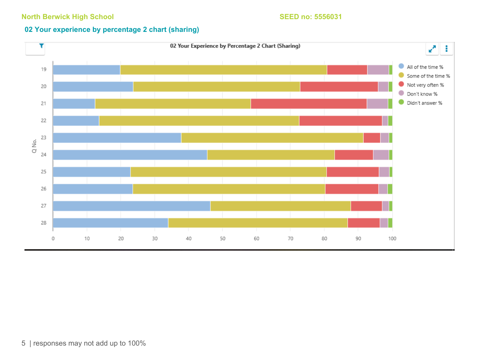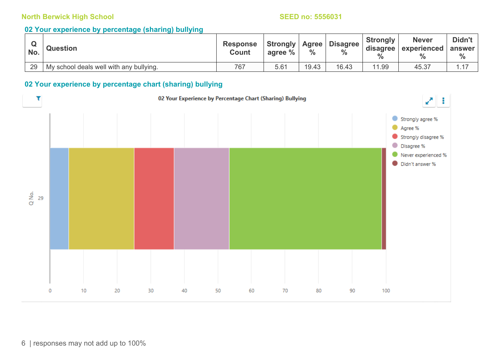#### **02 Your experience by percentage (sharing) bullying**

| No. | <b>Question</b>                         | <b>Response</b><br><b>Count</b> | Strongly   Agree  <br>agree % | $\frac{0}{0}$ | <b>Disagree</b><br>$\frac{0}{0}$ | <b>Strongly</b><br>disagree<br>$\frac{9}{6}$ | <b>Never</b><br>experienced | Didn't<br>answer<br>$\%$ |
|-----|-----------------------------------------|---------------------------------|-------------------------------|---------------|----------------------------------|----------------------------------------------|-----------------------------|--------------------------|
| 29  | My school deals well with any bullying. | 767                             | 5.61                          | 19.43         | 16.43                            | 11.99                                        | 45.37                       |                          |

### **02 Your experience by percentage chart (sharing) bullying**

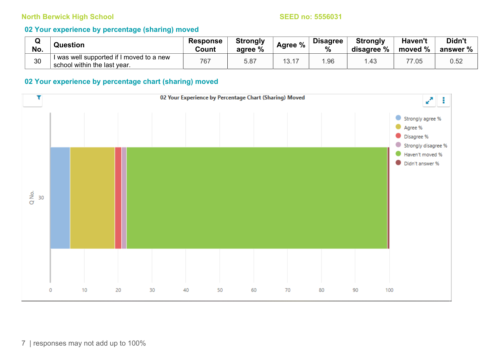### **02 Your experience by percentage (sharing) moved**

| No. | Question                                                                 | <b>Response</b><br>Count | <b>Strongly</b><br>agree % | Agree % | <b>Disagree</b><br>$\frac{0}{0}$ | <b>Strongly</b><br>disagree % | Haven't<br>moved % | Didn't<br>answer % |
|-----|--------------------------------------------------------------------------|--------------------------|----------------------------|---------|----------------------------------|-------------------------------|--------------------|--------------------|
| 30  | I was well supported if I moved to a new<br>school within the last year. | 767                      | 5.87                       | 13.17   | .96                              | 34.                           | 77.05              | 0.52               |

#### **02 Your experience by percentage chart (sharing) moved**

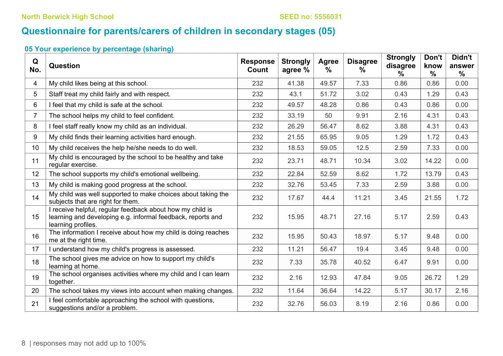# **Questionnaire for parents/carers of children in secondary stages (05)**

| Q<br>No.       | Question                                                                                                                                       | <b>Response</b><br>Count | <b>Strongly</b><br>agree % | <b>Agree</b><br>$\frac{0}{0}$ | <b>Disagree</b><br>$\frac{0}{0}$ | <b>Strongly</b><br>disagree<br>℅ | Don't<br>know<br>$\frac{0}{0}$ | Didn't<br>answer<br>$\frac{0}{0}$ |
|----------------|------------------------------------------------------------------------------------------------------------------------------------------------|--------------------------|----------------------------|-------------------------------|----------------------------------|----------------------------------|--------------------------------|-----------------------------------|
| 4              | My child likes being at this school.                                                                                                           | 232                      | 41.38                      | 49.57                         | 7.33                             | 0.86                             | 0.86                           | 0.00                              |
| 5              | Staff treat my child fairly and with respect.                                                                                                  | 232                      | 43.1                       | 51.72                         | 3.02                             | 0.43                             | 1.29                           | 0.43                              |
| 6              | I feel that my child is safe at the school.                                                                                                    | 232                      | 49.57                      | 48.28                         | 0.86                             | 0.43                             | 0.86                           | 0.00                              |
| $\overline{7}$ | The school helps my child to feel confident.                                                                                                   | 232                      | 33.19                      | 50                            | 9.91                             | 2.16                             | 4.31                           | 0.43                              |
| 8              | I feel staff really know my child as an individual.                                                                                            | 232                      | 26.29                      | 56.47                         | 8.62                             | 3.88                             | 4.31                           | 0.43                              |
| 9              | My child finds their learning activities hard enough.                                                                                          | 232                      | 21.55                      | 65.95                         | 9.05                             | 1.29                             | 1.72                           | 0.43                              |
| 10             | My child receives the help he/she needs to do well.                                                                                            | 232                      | 18.53                      | 59.05                         | 12.5                             | 2.59                             | 7.33                           | 0.00                              |
| 11             | My child is encouraged by the school to be healthy and take<br>regular exercise.                                                               | 232                      | 23.71                      | 48.71                         | 10.34                            | 3.02                             | 14.22                          | 0.00                              |
| 12             | The school supports my child's emotional wellbeing.                                                                                            | 232                      | 22.84                      | 52.59                         | 8.62                             | 1.72                             | 13.79                          | 0.43                              |
| 13             | My child is making good progress at the school.                                                                                                | 232                      | 32.76                      | 53.45                         | 7.33                             | 2.59                             | 3.88                           | 0.00                              |
| 14             | My child was well supported to make choices about taking the<br>subjects that are right for them.                                              | 232                      | 17.67                      | 44.4                          | 11.21                            | 3.45                             | 21.55                          | 1.72                              |
| 15             | I receive helpful, regular feedback about how my child is<br>learning and developing e.g. informal feedback, reports and<br>learning profiles. | 232                      | 15.95                      | 48.71                         | 27.16                            | 5.17                             | 2.59                           | 0.43                              |
| 16             | The information I receive about how my child is doing reaches<br>me at the right time.                                                         | 232                      | 15.95                      | 50.43                         | 18.97                            | 5.17                             | 9.48                           | 0.00                              |
| 17             | I understand how my child's progress is assessed.                                                                                              | 232                      | 11.21                      | 56.47                         | 19.4                             | 3.45                             | 9.48                           | 0.00                              |
| 18             | The school gives me advice on how to support my child's<br>learning at home.                                                                   | 232                      | 7.33                       | 35.78                         | 40.52                            | 6.47                             | 9.91                           | 0.00                              |
| 19             | The school organises activities where my child and I can learn<br>together.                                                                    | 232                      | 2.16                       | 12.93                         | 47.84                            | 9.05                             | 26.72                          | 1.29                              |
| 20             | The school takes my views into account when making changes.                                                                                    | 232                      | 11.64                      | 36.64                         | 14.22                            | 5.17                             | 30.17                          | 2.16                              |
| 21             | I feel comfortable approaching the school with questions,<br>suggestions and/or a problem.                                                     | 232                      | 32.76                      | 56.03                         | 8.19                             | 2.16                             | 0.86                           | 0.00                              |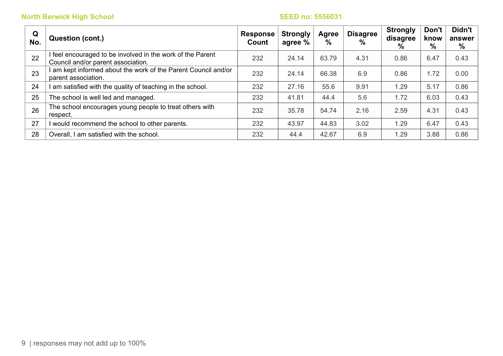| Q<br>No. | <b>Question (cont.)</b>                                                                        | <b>Response</b><br>Count | <b>Strongly</b><br>agree % | Agree<br>% | <b>Disagree</b><br>% | <b>Strongly</b><br>disagree<br>% | Don't<br>know<br>% | Didn't<br>answer<br>$\%$ |
|----------|------------------------------------------------------------------------------------------------|--------------------------|----------------------------|------------|----------------------|----------------------------------|--------------------|--------------------------|
| 22       | feel encouraged to be involved in the work of the Parent<br>Council and/or parent association. | 232                      | 24.14                      | 63.79      | 4.31                 | 0.86                             | 6.47               | 0.43                     |
| 23       | am kept informed about the work of the Parent Council and/or<br>parent association.            | 232                      | 24.14                      | 66.38      | 6.9                  | 0.86                             | 1.72               | 0.00                     |
| 24       | am satisfied with the quality of teaching in the school.                                       | 232                      | 27.16                      | 55.6       | 9.91                 | 1.29                             | 5.17               | 0.86                     |
| 25       | The school is well led and managed.                                                            | 232                      | 41.81                      | 44.4       | 5.6                  | 1.72                             | 6.03               | 0.43                     |
| 26       | The school encourages young people to treat others with<br>respect.                            | 232                      | 35.78                      | 54.74      | 2.16                 | 2.59                             | 4.31               | 0.43                     |
| 27       | would recommend the school to other parents.                                                   | 232                      | 43.97                      | 44.83      | 3.02                 | 1.29                             | 6.47               | 0.43                     |
| 28       | Overall, I am satisfied with the school.                                                       | 232                      | 44.4                       | 42.67      | 6.9                  | 1.29                             | 3.88               | 0.86                     |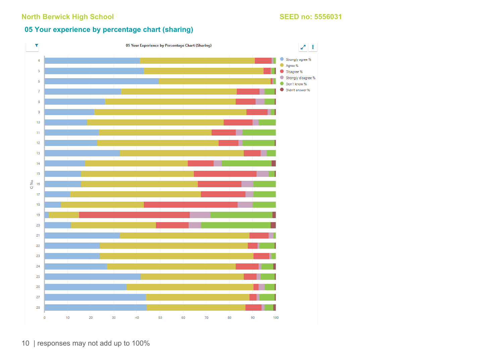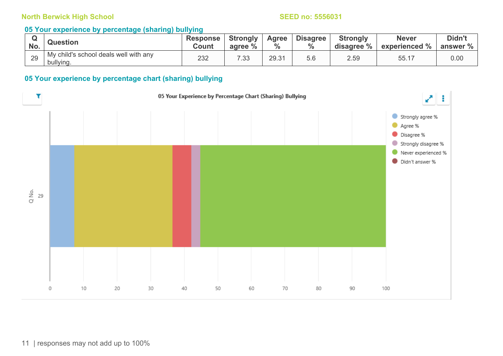#### **05 Your experience by percentage (sharing) bullying**

| No. | <b>Question</b>                                    | <b>Response</b><br>Count | <b>Strongly</b><br>agree % | Agree<br>$\%$ | <b>Disagree</b> | <b>Strongly</b><br>disagree % | <b>Never</b><br>experienced % | Didn't<br>answer % |
|-----|----------------------------------------------------|--------------------------|----------------------------|---------------|-----------------|-------------------------------|-------------------------------|--------------------|
| 29  | My child's school deals well with any<br>bullying. | 232                      | 7.33                       | 29.31         | ხ.ნ             | 2.59                          | 55.17                         | 0.00               |

#### **05 Your experience by percentage chart (sharing) bullying**

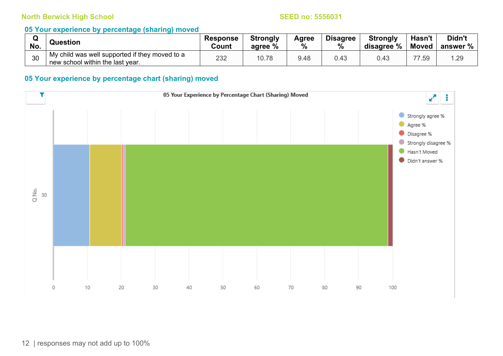#### **05 Your experience by percentage (sharing) moved**

| No. | <b>Question</b>                                                                    | <b>Response</b><br>Count | <b>Strongly</b><br>agree % | Agree<br>% | <b>Disagree</b><br>% | <b>Strongly</b><br>disagree % | Hasn't<br><b>Moved</b> | Didn't<br>answer % |
|-----|------------------------------------------------------------------------------------|--------------------------|----------------------------|------------|----------------------|-------------------------------|------------------------|--------------------|
| 30  | My child was well supported if they moved to a<br>new school within the last year. | 232                      | 10.78                      | 9.48       | 0.43                 |                               | 77.59                  | .29                |

#### **05 Your experience by percentage chart (sharing) moved**

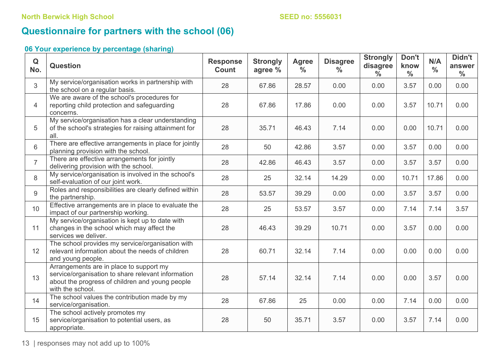# **Questionnaire for partners with the school (06)**

| Q<br>No.       | <b>Question</b>                                                                                                                                                      | <b>Response</b><br><b>Count</b> | <b>Strongly</b><br>agree % | <b>Agree</b><br>$\frac{0}{0}$ | <b>Disagree</b><br>$\frac{0}{0}$ | <b>Strongly</b><br>disagree<br>$\frac{0}{0}$ | Don't<br>know<br>$\frac{0}{0}$ | N/A<br>$\frac{0}{0}$ | Didn't<br>answer<br>$\frac{0}{0}$ |
|----------------|----------------------------------------------------------------------------------------------------------------------------------------------------------------------|---------------------------------|----------------------------|-------------------------------|----------------------------------|----------------------------------------------|--------------------------------|----------------------|-----------------------------------|
| 3              | My service/organisation works in partnership with<br>the school on a regular basis.                                                                                  | 28                              | 67.86                      | 28.57                         | 0.00                             | 0.00                                         | 3.57                           | 0.00                 | 0.00                              |
| $\overline{4}$ | We are aware of the school's procedures for<br>reporting child protection and safeguarding<br>concerns.                                                              | 28                              | 67.86                      | 17.86                         | 0.00                             | 0.00                                         | 3.57                           | 10.71                | 0.00                              |
| 5              | My service/organisation has a clear understanding<br>of the school's strategies for raising attainment for<br>all.                                                   | 28                              | 35.71                      | 46.43                         | 7.14                             | 0.00                                         | 0.00                           | 10.71                | 0.00                              |
| 6              | There are effective arrangements in place for jointly<br>planning provision with the school.                                                                         | 28                              | 50                         | 42.86                         | 3.57                             | 0.00                                         | 3.57                           | 0.00                 | 0.00                              |
| $\overline{7}$ | There are effective arrangements for jointly<br>delivering provision with the school.                                                                                | 28                              | 42.86                      | 46.43                         | 3.57                             | 0.00                                         | 3.57                           | 3.57                 | 0.00                              |
| 8              | My service/organisation is involved in the school's<br>self-evaluation of our joint work.                                                                            | 28                              | 25                         | 32.14                         | 14.29                            | 0.00                                         | 10.71                          | 17.86                | 0.00                              |
| 9              | Roles and responsibilities are clearly defined within<br>the partnership.                                                                                            | 28                              | 53.57                      | 39.29                         | 0.00                             | 0.00                                         | 3.57                           | 3.57                 | 0.00                              |
| 10             | Effective arrangements are in place to evaluate the<br>impact of our partnership working.                                                                            | 28                              | 25                         | 53.57                         | 3.57                             | 0.00                                         | 7.14                           | 7.14                 | 3.57                              |
| 11             | My service/organisation is kept up to date with<br>changes in the school which may affect the<br>services we deliver.                                                | 28                              | 46.43                      | 39.29                         | 10.71                            | 0.00                                         | 3.57                           | 0.00                 | 0.00                              |
| 12             | The school provides my service/organisation with<br>relevant information about the needs of children<br>and young people.                                            | 28                              | 60.71                      | 32.14                         | 7.14                             | 0.00                                         | 0.00                           | 0.00                 | 0.00                              |
| 13             | Arrangements are in place to support my<br>service/organisation to share relevant information<br>about the progress of children and young people<br>with the school. | 28                              | 57.14                      | 32.14                         | 7.14                             | 0.00                                         | 0.00                           | 3.57                 | 0.00                              |
| 14             | The school values the contribution made by my<br>service/organisation.                                                                                               | 28                              | 67.86                      | 25                            | 0.00                             | 0.00                                         | 7.14                           | 0.00                 | 0.00                              |
| 15             | The school actively promotes my<br>service/organisation to potential users, as<br>appropriate.                                                                       | 28                              | 50                         | 35.71                         | 3.57                             | 0.00                                         | 3.57                           | 7.14                 | 0.00                              |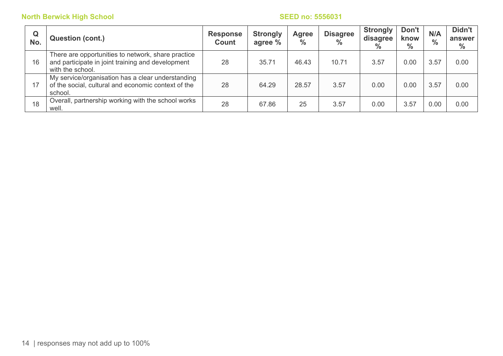| Q<br>No. | <b>Question (cont.)</b>                                                                                                     | <b>Response</b><br><b>Count</b> | <b>Strongly</b><br>agree % | Agree<br>$\frac{0}{0}$ | <b>Disagree</b><br>$\frac{0}{0}$ | <b>Strongly</b><br>disagree<br>$\%$ | Don't<br>know<br>$\frac{0}{0}$ | N/A<br>$\frac{0}{0}$ | Didn't<br>answer<br>$\frac{0}{0}$ |
|----------|-----------------------------------------------------------------------------------------------------------------------------|---------------------------------|----------------------------|------------------------|----------------------------------|-------------------------------------|--------------------------------|----------------------|-----------------------------------|
| 16       | There are opportunities to network, share practice<br>and participate in joint training and development<br>with the school. | 28                              | 35.71                      | 46.43                  | 10.71                            | 3.57                                | 0.00                           | 3.57                 | 0.00                              |
| 17       | My service/organisation has a clear understanding<br>of the social, cultural and economic context of the<br>school.         | 28                              | 64.29                      | 28.57                  | 3.57                             | 0.00                                | 0.00                           | 3.57                 | 0.00                              |
| 18       | Overall, partnership working with the school works<br>well.                                                                 | 28                              | 67.86                      | 25                     | 3.57                             | 0.00                                | 3.57                           | 0.00                 | 0.00                              |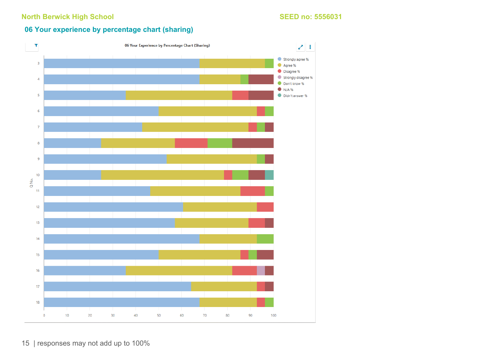### **06 Your experience by percentage chart (sharing)**



15 | responses may not add up to 100%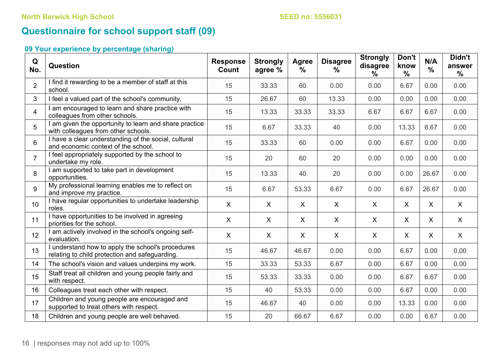# **Questionnaire for school support staff (09)**

| Q<br>No.       | <b>Question</b>                                                                                   | <b>Response</b><br>Count | <b>Strongly</b><br>agree % | <b>Agree</b><br>% | <b>Disagree</b><br>$\%$ | <b>Strongly</b><br>disagree<br>% | Don't<br>know<br>$\frac{0}{0}$ | N/A<br>$\frac{0}{0}$ | Didn't<br>answer<br>$\frac{0}{0}$ |
|----------------|---------------------------------------------------------------------------------------------------|--------------------------|----------------------------|-------------------|-------------------------|----------------------------------|--------------------------------|----------------------|-----------------------------------|
| $\overline{2}$ | I find it rewarding to be a member of staff at this<br>school.                                    | 15                       | 33.33                      | 60                | 0.00                    | 0.00                             | 6.67                           | 0.00                 | 0.00                              |
| 3              | I feel a valued part of the school's community.                                                   | 15                       | 26.67                      | 60                | 13.33                   | 0.00                             | 0.00                           | 0.00                 | 0.00                              |
| $\overline{4}$ | am encouraged to learn and share practice with<br>colleagues from other schools.                  | 15                       | 13.33                      | 33.33             | 33.33                   | 6.67                             | 6.67                           | 6.67                 | 0.00                              |
| 5              | I am given the opportunity to learn and share practice<br>with colleagues from other schools.     | 15                       | 6.67                       | 33.33             | 40                      | 0.00                             | 13.33                          | 6.67                 | 0.00                              |
| 6              | I have a clear understanding of the social, cultural<br>and economic context of the school.       | 15                       | 33.33                      | 60                | 0.00                    | 0.00                             | 6.67                           | 0.00                 | 0.00                              |
| $\overline{7}$ | I feel appropriately supported by the school to<br>undertake my role.                             | 15                       | 20                         | 60                | 20                      | 0.00                             | 0.00                           | 0.00                 | 0.00                              |
| 8              | I am supported to take part in development<br>opportunities.                                      | 15                       | 13.33                      | 40                | 20                      | 0.00                             | 0.00                           | 26.67                | 0.00                              |
| 9              | My professional learning enables me to reflect on<br>and improve my practice.                     | 15                       | 6.67                       | 53.33             | 6.67                    | 0.00                             | 6.67                           | 26.67                | 0.00                              |
| 10             | I have regular opportunities to undertake leadership<br>roles.                                    | $\sf X$                  | X                          | $\sf X$           | X                       | $\mathsf{X}$                     | $\mathsf{X}$                   | X                    | $\mathsf{X}$                      |
| 11             | I have opportunities to be involved in agreeing<br>priorities for the school.                     | $\mathsf{X}$             | $\sf X$                    | $\sf X$           | X                       | X                                | X                              | $\mathsf{X}$         | X                                 |
| 12             | I am actively involved in the school's ongoing self-<br>evaluation.                               | $\mathsf{X}$             | $\sf X$                    | $\mathsf{X}$      | $\mathsf{X}$            | $\mathsf{X}$                     | X                              | $\mathsf{X}$         | X                                 |
| 13             | understand how to apply the school's procedures<br>relating to child protection and safeguarding. | 15                       | 46.67                      | 46.67             | 0.00                    | 0.00                             | 6.67                           | 0.00                 | 0.00                              |
| 14             | The school's vision and values underpins my work.                                                 | 15                       | 33.33                      | 53.33             | 6.67                    | 0.00                             | 6.67                           | 0.00                 | 0.00                              |
| 15             | Staff treat all children and young people fairly and<br>with respect.                             | 15                       | 53.33                      | 33.33             | 0.00                    | 0.00                             | 6.67                           | 6.67                 | 0.00                              |
| 16             | Colleagues treat each other with respect.                                                         | 15                       | 40                         | 53.33             | 0.00                    | 0.00                             | 6.67                           | 0.00                 | 0.00                              |
| 17             | Children and young people are encouraged and<br>supported to treat others with respect.           | 15                       | 46.67                      | 40                | 0.00                    | 0.00                             | 13.33                          | 0.00                 | 0.00                              |
| 18             | Children and young people are well behaved.                                                       | 15                       | 20                         | 66.67             | 6.67                    | 0.00                             | 0.00                           | 6.67                 | 0.00                              |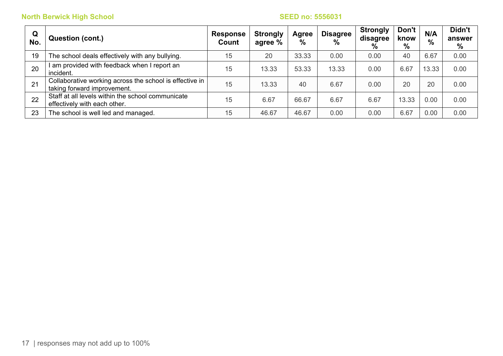| Q<br>No. | <b>Question (cont.)</b>                                                                | <b>Response</b><br>Count | <b>Strongly</b><br>agree % | <b>Agree</b><br>$\%$ | <b>Disagree</b><br>$\%$ | <b>Strongly</b><br>disagree<br>$\%$ | Don't<br>know<br>% | N/A<br>$\frac{0}{0}$ | Didn't<br>answer<br>% |
|----------|----------------------------------------------------------------------------------------|--------------------------|----------------------------|----------------------|-------------------------|-------------------------------------|--------------------|----------------------|-----------------------|
| 19       | The school deals effectively with any bullying.                                        | 15                       | 20                         | 33.33                | 0.00                    | 0.00                                | 40                 | 6.67                 | 0.00                  |
| 20       | am provided with feedback when I report an<br>incident.                                | 15                       | 13.33                      | 53.33                | 13.33                   | 0.00                                | 6.67               | 13.33                | 0.00                  |
| 21       | Collaborative working across the school is effective in<br>taking forward improvement. | 15                       | 13.33                      | 40                   | 6.67                    | 0.00                                | 20                 | 20                   | 0.00                  |
| 22       | Staff at all levels within the school communicate<br>effectively with each other.      | 15                       | 6.67                       | 66.67                | 6.67                    | 6.67                                | 13.33              | 0.00                 | 0.00                  |
| 23       | The school is well led and managed.                                                    | 15                       | 46.67                      | 46.67                | 0.00                    | 0.00                                | 6.67               | 0.00                 | 0.00                  |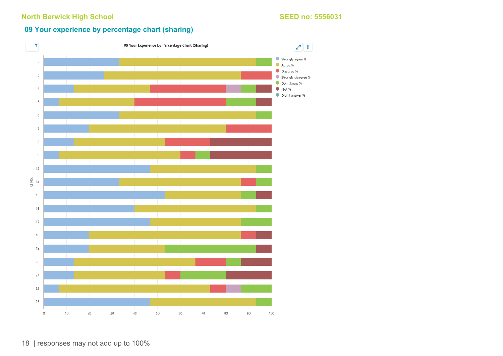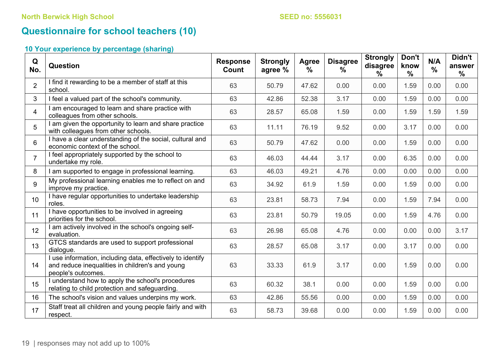# **Questionnaire for school teachers (10)**

| Q<br>No.        | Question                                                                                                                            | <b>Response</b><br><b>Count</b> | <b>Strongly</b><br>agree % | Agree<br>$\frac{0}{0}$ | <b>Disagree</b><br>℅ | <b>Strongly</b><br>disagree<br>$\%$ | Don't<br>know<br>$\frac{0}{0}$ | N/A<br>$\frac{0}{0}$ | Didn't<br>answer<br>$\frac{0}{0}$ |
|-----------------|-------------------------------------------------------------------------------------------------------------------------------------|---------------------------------|----------------------------|------------------------|----------------------|-------------------------------------|--------------------------------|----------------------|-----------------------------------|
| $\overline{2}$  | I find it rewarding to be a member of staff at this<br>school.                                                                      | 63                              | 50.79                      | 47.62                  | 0.00                 | 0.00                                | 1.59                           | 0.00                 | 0.00                              |
| 3               | I feel a valued part of the school's community.                                                                                     | 63                              | 42.86                      | 52.38                  | 3.17                 | 0.00                                | 1.59                           | 0.00                 | 0.00                              |
| $\overline{4}$  | I am encouraged to learn and share practice with<br>colleagues from other schools.                                                  | 63                              | 28.57                      | 65.08                  | 1.59                 | 0.00                                | 1.59                           | 1.59                 | 1.59                              |
| 5               | I am given the opportunity to learn and share practice<br>with colleagues from other schools.                                       | 63                              | 11.11                      | 76.19                  | 9.52                 | 0.00                                | 3.17                           | 0.00                 | 0.00                              |
| 6               | I have a clear understanding of the social, cultural and<br>economic context of the school.                                         | 63                              | 50.79                      | 47.62                  | 0.00                 | 0.00                                | 1.59                           | 0.00                 | 0.00                              |
| $\overline{7}$  | I feel appropriately supported by the school to<br>undertake my role.                                                               | 63                              | 46.03                      | 44.44                  | 3.17                 | 0.00                                | 6.35                           | 0.00                 | 0.00                              |
| 8               | I am supported to engage in professional learning.                                                                                  | 63                              | 46.03                      | 49.21                  | 4.76                 | 0.00                                | 0.00                           | 0.00                 | 0.00                              |
| 9               | My professional learning enables me to reflect on and<br>improve my practice.                                                       | 63                              | 34.92                      | 61.9                   | 1.59                 | 0.00                                | 1.59                           | 0.00                 | 0.00                              |
| 10 <sup>1</sup> | I have regular opportunities to undertake leadership<br>roles.                                                                      | 63                              | 23.81                      | 58.73                  | 7.94                 | 0.00                                | 1.59                           | 7.94                 | 0.00                              |
| 11              | I have opportunities to be involved in agreeing<br>priorities for the school.                                                       | 63                              | 23.81                      | 50.79                  | 19.05                | 0.00                                | 1.59                           | 4.76                 | 0.00                              |
| 12              | I am actively involved in the school's ongoing self-<br>evaluation.                                                                 | 63                              | 26.98                      | 65.08                  | 4.76                 | 0.00                                | 0.00                           | 0.00                 | 3.17                              |
| 13              | GTCS standards are used to support professional<br>dialogue.                                                                        | 63                              | 28.57                      | 65.08                  | 3.17                 | 0.00                                | 3.17                           | 0.00                 | 0.00                              |
| 14              | I use information, including data, effectively to identify<br>and reduce inequalities in children's and young<br>people's outcomes. | 63                              | 33.33                      | 61.9                   | 3.17                 | 0.00                                | 1.59                           | 0.00                 | 0.00                              |
| 15              | I understand how to apply the school's procedures<br>relating to child protection and safeguarding.                                 | 63                              | 60.32                      | 38.1                   | 0.00                 | 0.00                                | 1.59                           | 0.00                 | 0.00                              |
| 16              | The school's vision and values underpins my work.                                                                                   | 63                              | 42.86                      | 55.56                  | 0.00                 | 0.00                                | 1.59                           | 0.00                 | 0.00                              |
| 17              | Staff treat all children and young people fairly and with<br>respect.                                                               | 63                              | 58.73                      | 39.68                  | 0.00                 | 0.00                                | 1.59                           | 0.00                 | 0.00                              |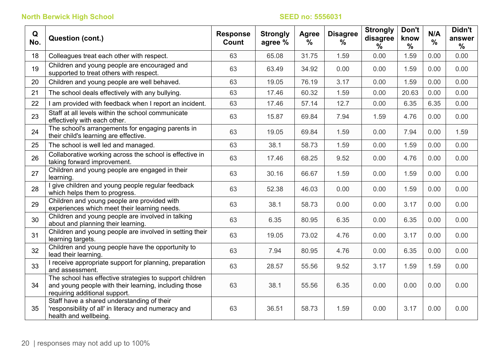| Q<br>No. | Question (cont.)                                                                                                                                  | <b>Response</b><br>Count | <b>Strongly</b><br>agree % | Agree<br>$\frac{0}{0}$ | <b>Disagree</b><br>$\%$ | <b>Strongly</b><br>disagree<br>℅ | Don't<br>know<br>$\frac{0}{0}$ | N/A<br>$\frac{0}{0}$ | Didn't<br>answer<br>$\frac{0}{0}$ |
|----------|---------------------------------------------------------------------------------------------------------------------------------------------------|--------------------------|----------------------------|------------------------|-------------------------|----------------------------------|--------------------------------|----------------------|-----------------------------------|
| 18       | Colleagues treat each other with respect.                                                                                                         | 63                       | 65.08                      | 31.75                  | 1.59                    | 0.00                             | 1.59                           | 0.00                 | 0.00                              |
| 19       | Children and young people are encouraged and<br>supported to treat others with respect.                                                           | 63                       | 63.49                      | 34.92                  | 0.00                    | 0.00                             | 1.59                           | 0.00                 | 0.00                              |
| 20       | Children and young people are well behaved.                                                                                                       | 63                       | 19.05                      | 76.19                  | 3.17                    | 0.00                             | 1.59                           | 0.00                 | 0.00                              |
| 21       | The school deals effectively with any bullying.                                                                                                   | 63                       | 17.46                      | 60.32                  | 1.59                    | 0.00                             | 20.63                          | 0.00                 | 0.00                              |
| 22       | I am provided with feedback when I report an incident.                                                                                            | 63                       | 17.46                      | 57.14                  | 12.7                    | 0.00                             | 6.35                           | 6.35                 | 0.00                              |
| 23       | Staff at all levels within the school communicate<br>effectively with each other.                                                                 | 63                       | 15.87                      | 69.84                  | 7.94                    | 1.59                             | 4.76                           | 0.00                 | 0.00                              |
| 24       | The school's arrangements for engaging parents in<br>their child's learning are effective.                                                        | 63                       | 19.05                      | 69.84                  | 1.59                    | 0.00                             | 7.94                           | 0.00                 | 1.59                              |
| 25       | The school is well led and managed.                                                                                                               | 63                       | 38.1                       | 58.73                  | 1.59                    | 0.00                             | 1.59                           | 0.00                 | 0.00                              |
| 26       | Collaborative working across the school is effective in<br>taking forward improvement.                                                            | 63                       | 17.46                      | 68.25                  | 9.52                    | 0.00                             | 4.76                           | 0.00                 | 0.00                              |
| 27       | Children and young people are engaged in their<br>learning.                                                                                       | 63                       | 30.16                      | 66.67                  | 1.59                    | 0.00                             | 1.59                           | 0.00                 | 0.00                              |
| 28       | I give children and young people regular feedback<br>which helps them to progress.                                                                | 63                       | 52.38                      | 46.03                  | 0.00                    | 0.00                             | 1.59                           | 0.00                 | 0.00                              |
| 29       | Children and young people are provided with<br>experiences which meet their learning needs.                                                       | 63                       | 38.1                       | 58.73                  | 0.00                    | 0.00                             | 3.17                           | 0.00                 | 0.00                              |
| 30       | Children and young people are involved in talking<br>about and planning their learning.                                                           | 63                       | 6.35                       | 80.95                  | 6.35                    | 0.00                             | 6.35                           | 0.00                 | 0.00                              |
| 31       | Children and young people are involved in setting their<br>learning targets.                                                                      | 63                       | 19.05                      | 73.02                  | 4.76                    | 0.00                             | 3.17                           | 0.00                 | 0.00                              |
| 32       | Children and young people have the opportunity to<br>lead their learning.                                                                         | 63                       | 7.94                       | 80.95                  | 4.76                    | 0.00                             | 6.35                           | 0.00                 | 0.00                              |
| 33       | I receive appropriate support for planning, preparation<br>and assessment.                                                                        | 63                       | 28.57                      | 55.56                  | 9.52                    | 3.17                             | 1.59                           | 1.59                 | 0.00                              |
| 34       | The school has effective strategies to support children<br>and young people with their learning, including those<br>requiring additional support. | 63                       | 38.1                       | 55.56                  | 6.35                    | 0.00                             | 0.00                           | 0.00                 | 0.00                              |
| 35       | Staff have a shared understanding of their<br>'responsibility of all' in literacy and numeracy and<br>health and wellbeing.                       | 63                       | 36.51                      | 58.73                  | 1.59                    | 0.00                             | 3.17                           | 0.00                 | 0.00                              |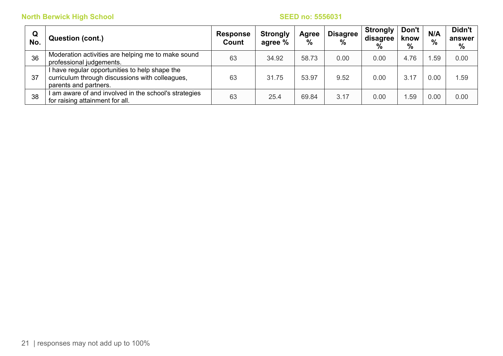| $\mathbf Q$<br>No. | <b>Question (cont.)</b>                                                                                                    | <b>Response</b><br>Count | <b>Strongly</b><br>agree % | Agree<br>% | <b>Disagree</b><br>% | <b>Strongly</b><br>disagree<br>% | Don't<br>know<br>% | N/A<br>$\%$ | Didn't<br>answer<br>% |
|--------------------|----------------------------------------------------------------------------------------------------------------------------|--------------------------|----------------------------|------------|----------------------|----------------------------------|--------------------|-------------|-----------------------|
| 36                 | Moderation activities are helping me to make sound<br>professional judgements.                                             | 63                       | 34.92                      | 58.73      | 0.00                 | 0.00                             | 4.76               | .59         | 0.00                  |
| 37                 | I have regular opportunities to help shape the<br>curriculum through discussions with colleagues,<br>parents and partners. | 63                       | 31.75                      | 53.97      | 9.52                 | 0.00                             | 3.17               | 0.00        | .59                   |
| 38                 | am aware of and involved in the school's strategies<br>for raising attainment for all.                                     | 63                       | 25.4                       | 69.84      | 3.17                 | 0.00                             | .59                | 0.00        | 0.00                  |